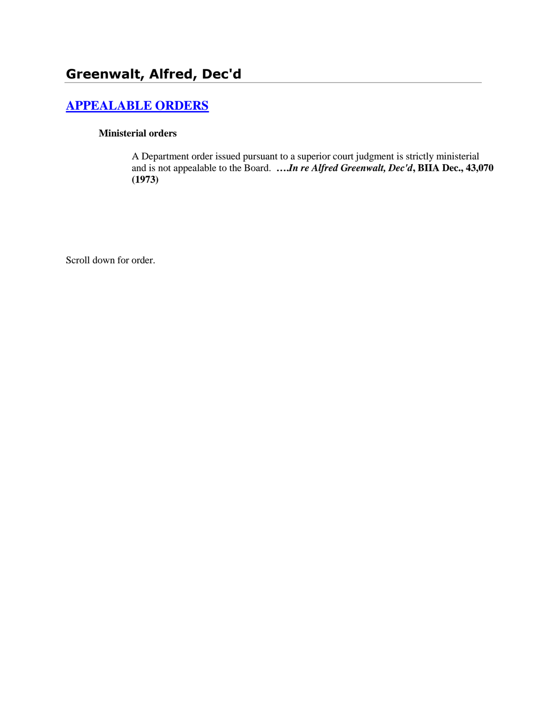# **[APPEALABLE ORDERS](http://www.biia.wa.gov/SDSubjectIndex.html#APPEALABLE_ORDERS)**

#### **Ministerial orders**

A Department order issued pursuant to a superior court judgment is strictly ministerial and is not appealable to the Board. **….***In re Alfred Greenwalt, Dec'd***, BIIA Dec., 43,070 (1973)** 

Scroll down for order.